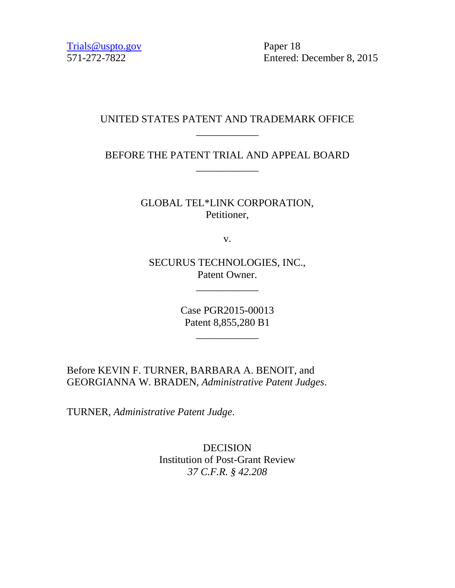[Trials@uspto.gov](mailto:Trials@uspto.gov) Paper 18

571-272-7822 Entered: December 8, 2015

# UNITED STATES PATENT AND TRADEMARK OFFICE \_\_\_\_\_\_\_\_\_\_\_\_

BEFORE THE PATENT TRIAL AND APPEAL BOARD \_\_\_\_\_\_\_\_\_\_\_\_

> GLOBAL TEL\*LINK CORPORATION, Petitioner,

> > v.

SECURUS TECHNOLOGIES, INC., Patent Owner.

\_\_\_\_\_\_\_\_\_\_\_\_

Case PGR2015-00013 Patent 8,855,280 B1

\_\_\_\_\_\_\_\_\_\_\_\_

Before KEVIN F. TURNER, BARBARA A. BENOIT, and GEORGIANNA W. BRADEN, *Administrative Patent Judges*.

TURNER, *Administrative Patent Judge*.

DECISION Institution of Post-Grant Review *37 C.F.R. § 42.208*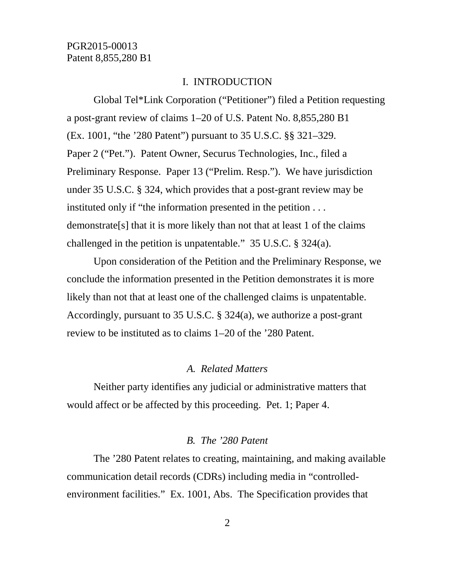## I. INTRODUCTION

Global Tel\*Link Corporation ("Petitioner") filed a Petition requesting a post-grant review of claims 1–20 of U.S. Patent No. 8,855,280 B1 (Ex. 1001, "the '280 Patent") pursuant to 35 U.S.C. §§ 321–329. Paper 2 ("Pet."). Patent Owner, Securus Technologies, Inc., filed a Preliminary Response. Paper 13 ("Prelim. Resp."). We have jurisdiction under 35 U.S.C. § 324, which provides that a post-grant review may be instituted only if "the information presented in the petition . . . demonstrate[s] that it is more likely than not that at least 1 of the claims challenged in the petition is unpatentable." 35 U.S.C. § 324(a).

Upon consideration of the Petition and the Preliminary Response, we conclude the information presented in the Petition demonstrates it is more likely than not that at least one of the challenged claims is unpatentable. Accordingly, pursuant to 35 U.S.C. § 324(a), we authorize a post-grant review to be instituted as to claims 1–20 of the '280 Patent.

## *A. Related Matters*

Neither party identifies any judicial or administrative matters that would affect or be affected by this proceeding. Pet. 1; Paper 4.

#### *B. The '280 Patent*

The '280 Patent relates to creating, maintaining, and making available communication detail records (CDRs) including media in "controlledenvironment facilities." Ex. 1001, Abs. The Specification provides that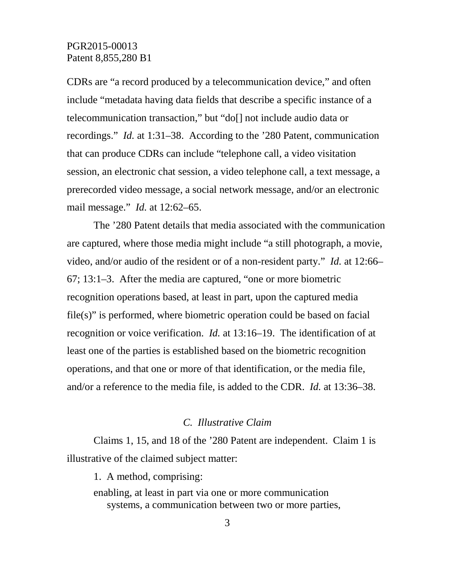CDRs are "a record produced by a telecommunication device," and often include "metadata having data fields that describe a specific instance of a telecommunication transaction," but "do[] not include audio data or recordings." *Id.* at 1:31–38. According to the '280 Patent, communication that can produce CDRs can include "telephone call, a video visitation session, an electronic chat session, a video telephone call, a text message, a prerecorded video message, a social network message, and/or an electronic mail message." *Id.* at 12:62–65.

The '280 Patent details that media associated with the communication are captured, where those media might include "a still photograph, a movie, video, and/or audio of the resident or of a non-resident party." *Id.* at 12:66– 67; 13:1–3. After the media are captured, "one or more biometric recognition operations based, at least in part, upon the captured media file(s)" is performed, where biometric operation could be based on facial recognition or voice verification. *Id.* at 13:16–19. The identification of at least one of the parties is established based on the biometric recognition operations, and that one or more of that identification, or the media file, and/or a reference to the media file, is added to the CDR. *Id.* at 13:36–38.

## *C. Illustrative Claim*

Claims 1, 15, and 18 of the '280 Patent are independent. Claim 1 is illustrative of the claimed subject matter:

1. A method, comprising: enabling, at least in part via one or more communication systems, a communication between two or more parties,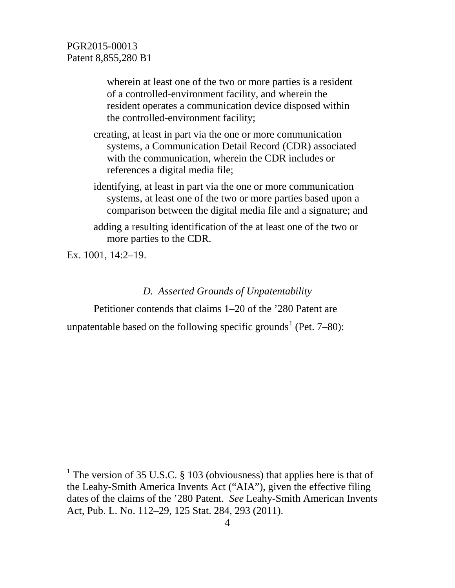wherein at least one of the two or more parties is a resident of a controlled-environment facility, and wherein the resident operates a communication device disposed within the controlled-environment facility;

- creating, at least in part via the one or more communication systems, a Communication Detail Record (CDR) associated with the communication, wherein the CDR includes or references a digital media file;
- identifying, at least in part via the one or more communication systems, at least one of the two or more parties based upon a comparison between the digital media file and a signature; and
- adding a resulting identification of the at least one of the two or more parties to the CDR.

Ex. 1001, 14:2–19.

 $\overline{a}$ 

# *D. Asserted Grounds of Unpatentability*

Petitioner contends that claims 1–20 of the '280 Patent are

unpatentable based on the following specific grounds<sup>[1](#page-3-0)</sup> (Pet.  $7-80$ ):

<span id="page-3-0"></span><sup>&</sup>lt;sup>1</sup> The version of 35 U.S.C. § 103 (obviousness) that applies here is that of the Leahy-Smith America Invents Act ("AIA"), given the effective filing dates of the claims of the '280 Patent. *See* Leahy-Smith American Invents Act, Pub. L. No. 112–29, 125 Stat. 284, 293 (2011).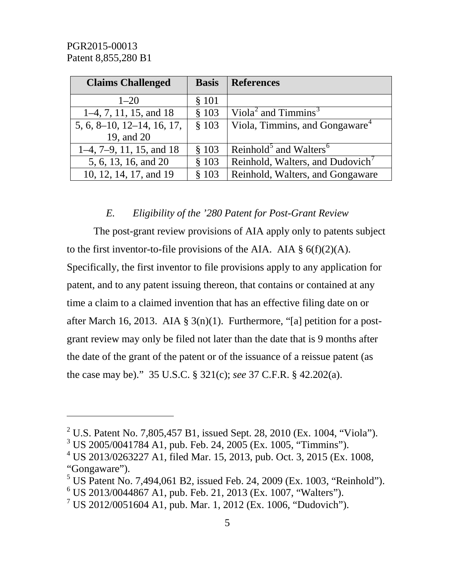$\overline{a}$ 

| <b>Claims Challenged</b>      | <b>Basis</b> | <b>References</b>                              |
|-------------------------------|--------------|------------------------------------------------|
| $1 - 20$                      | § 101        |                                                |
| $1-4, 7, 11, 15,$ and 18      | \$103        | Viola <sup>2</sup> and Timmins <sup>3</sup>    |
| $5, 6, 8$ -10, 12-14, 16, 17, | \$103        | Viola, Timmins, and Gongaware <sup>4</sup>     |
| 19, and 20                    |              |                                                |
| $1-4$ , 7-9, 11, 15, and 18   | \$103        | Reinhold <sup>5</sup> and Walters <sup>6</sup> |
| 5, 6, 13, 16, and 20          | \$103        | Reinhold, Walters, and Dudovich                |
| 10, 12, 14, 17, and 19        | \$103        | Reinhold, Walters, and Gongaware               |

## *E. Eligibility of the '280 Patent for Post-Grant Review*

The post-grant review provisions of AIA apply only to patents subject to the first inventor-to-file provisions of the AIA. AIA  $\S$  6(f)(2)(A). Specifically, the first inventor to file provisions apply to any application for patent, and to any patent issuing thereon, that contains or contained at any time a claim to a claimed invention that has an effective filing date on or after March 16, 2013. AIA §  $3(n)(1)$ . Furthermore, "[a] petition for a postgrant review may only be filed not later than the date that is 9 months after the date of the grant of the patent or of the issuance of a reissue patent (as the case may be)." 35 U.S.C. § 321(c); *see* 37 C.F.R. § 42.202(a).

<span id="page-4-0"></span><sup>&</sup>lt;sup>2</sup> U.S. Patent No. 7,805,457 B1, issued Sept. 28, 2010 (Ex. 1004, "Viola").

<span id="page-4-1"></span> $3 \text{ US } 2005/0041784 \text{ A1}, \text{pub.}$  Feb. 24, 2005 (Ex. 1005, "Timmins").

<span id="page-4-2"></span><sup>4</sup> US 2013/0263227 A1, filed Mar. 15, 2013, pub. Oct. 3, 2015 (Ex. 1008, "Gongaware").

<span id="page-4-3"></span> $5$  US Patent No. 7,494,061 B2, issued Feb. 24, 2009 (Ex. 1003, "Reinhold").

<span id="page-4-4"></span> $6$  US 2013/0044867 A1, pub. Feb. 21, 2013 (Ex. 1007, "Walters").

<span id="page-4-5"></span> $7 \text{ US } 2012/0051604 \text{ A1}, \text{pub. Mar. } 1, 2012 \text{ (Ex. } 1006, \text{ "Dudovich").}$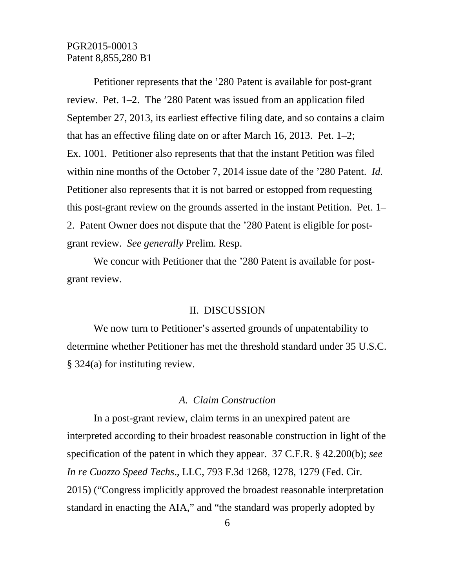Petitioner represents that the '280 Patent is available for post-grant review. Pet. 1–2. The '280 Patent was issued from an application filed September 27, 2013, its earliest effective filing date, and so contains a claim that has an effective filing date on or after March 16, 2013. Pet. 1–2; Ex. 1001. Petitioner also represents that that the instant Petition was filed within nine months of the October 7, 2014 issue date of the '280 Patent. *Id.* Petitioner also represents that it is not barred or estopped from requesting this post-grant review on the grounds asserted in the instant Petition. Pet. 1– 2. Patent Owner does not dispute that the '280 Patent is eligible for postgrant review. *See generally* Prelim. Resp.

We concur with Petitioner that the '280 Patent is available for postgrant review.

#### II. DISCUSSION

We now turn to Petitioner's asserted grounds of unpatentability to determine whether Petitioner has met the threshold standard under 35 U.S.C. § 324(a) for instituting review.

## *A. Claim Construction*

In a post-grant review, claim terms in an unexpired patent are interpreted according to their broadest reasonable construction in light of the specification of the patent in which they appear. 37 C.F.R. § 42.200(b); *see In re Cuozzo Speed Techs*., LLC, 793 F.3d 1268, 1278, 1279 (Fed. Cir. 2015) ("Congress implicitly approved the broadest reasonable interpretation standard in enacting the AIA," and "the standard was properly adopted by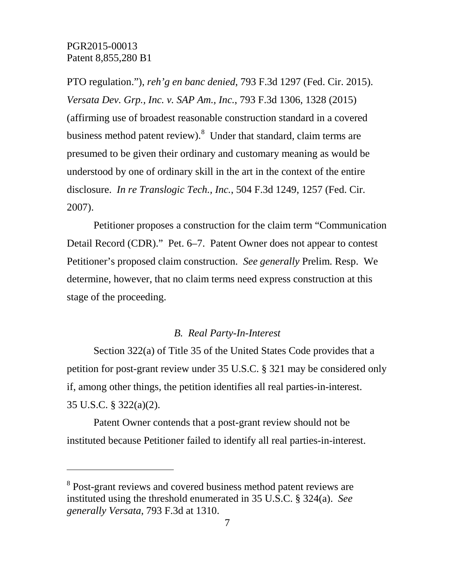$\overline{a}$ 

PTO regulation."), *reh'g en banc denied*, 793 F.3d 1297 (Fed. Cir. 2015). *Versata Dev. Grp., Inc. v. SAP Am., Inc.*, 793 F.3d 1306, 1328 (2015) (affirming use of broadest reasonable construction standard in a covered business method patent review). <sup>[8](#page-6-0)</sup> Under that standard, claim terms are presumed to be given their ordinary and customary meaning as would be understood by one of ordinary skill in the art in the context of the entire disclosure. *In re Translogic Tech., Inc.*, 504 F.3d 1249, 1257 (Fed. Cir. 2007).

Petitioner proposes a construction for the claim term "Communication Detail Record (CDR)." Pet. 6–7. Patent Owner does not appear to contest Petitioner's proposed claim construction. *See generally* Prelim. Resp. We determine, however, that no claim terms need express construction at this stage of the proceeding.

## *B. Real Party-In-Interest*

Section 322(a) of Title 35 of the United States Code provides that a petition for post-grant review under 35 U.S.C. § 321 may be considered only if, among other things, the petition identifies all real parties-in-interest. 35 U.S.C. § 322(a)(2).

Patent Owner contends that a post-grant review should not be instituted because Petitioner failed to identify all real parties-in-interest.

<span id="page-6-0"></span><sup>8</sup> Post-grant reviews and covered business method patent reviews are instituted using the threshold enumerated in 35 U.S.C. § 324(a). *See generally Versata*, 793 F.3d at 1310.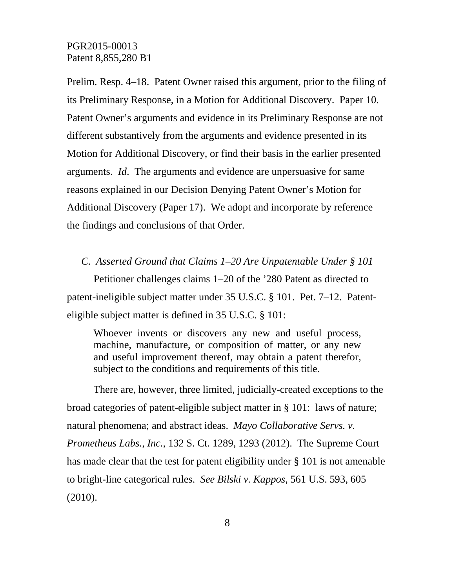Prelim. Resp. 4–18. Patent Owner raised this argument, prior to the filing of its Preliminary Response, in a Motion for Additional Discovery. Paper 10. Patent Owner's arguments and evidence in its Preliminary Response are not different substantively from the arguments and evidence presented in its Motion for Additional Discovery, or find their basis in the earlier presented arguments. *Id*. The arguments and evidence are unpersuasive for same reasons explained in our Decision Denying Patent Owner's Motion for Additional Discovery (Paper 17). We adopt and incorporate by reference the findings and conclusions of that Order.

*C. Asserted Ground that Claims 1–20 Are Unpatentable Under § 101* 

Petitioner challenges claims 1–20 of the '280 Patent as directed to patent-ineligible subject matter under 35 U.S.C. § 101. Pet. 7–12. Patenteligible subject matter is defined in 35 U.S.C. § 101:

Whoever invents or discovers any new and useful process, machine, manufacture, or composition of matter, or any new and useful improvement thereof, may obtain a patent therefor, subject to the conditions and requirements of this title.

There are, however, three limited, judicially-created exceptions to the broad categories of patent-eligible subject matter in § 101: laws of nature; natural phenomena; and abstract ideas. *Mayo Collaborative Servs. v. Prometheus Labs., Inc.*, 132 S. Ct. 1289, 1293 (2012). The Supreme Court has made clear that the test for patent eligibility under § 101 is not amenable to bright-line categorical rules. *See Bilski v. Kappos*, 561 U.S. 593, 605 (2010).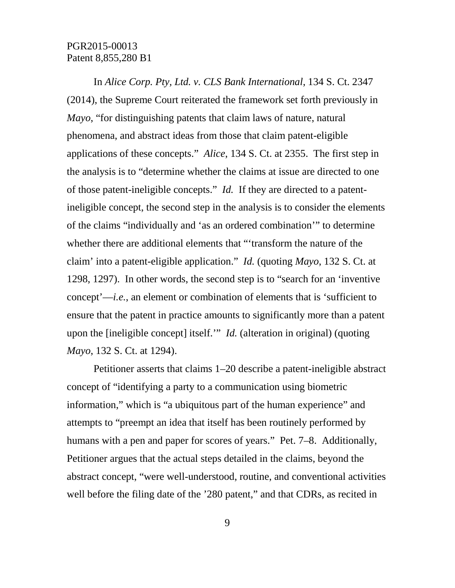In *Alice Corp. Pty, Ltd. v. CLS Bank International*, 134 S. Ct. 2347 (2014), the Supreme Court reiterated the framework set forth previously in *Mayo*, "for distinguishing patents that claim laws of nature, natural phenomena, and abstract ideas from those that claim patent-eligible applications of these concepts." *Alice*, 134 S. Ct. at 2355. The first step in the analysis is to "determine whether the claims at issue are directed to one of those patent-ineligible concepts." *Id.* If they are directed to a patentineligible concept, the second step in the analysis is to consider the elements of the claims "individually and 'as an ordered combination'" to determine whether there are additional elements that "'transform the nature of the claim' into a patent-eligible application." *Id.* (quoting *Mayo*, 132 S. Ct. at 1298, 1297). In other words, the second step is to "search for an 'inventive concept'—*i.e.*, an element or combination of elements that is 'sufficient to ensure that the patent in practice amounts to significantly more than a patent upon the [ineligible concept] itself.'" *Id.* (alteration in original) (quoting *Mayo*, 132 S. Ct. at 1294).

Petitioner asserts that claims 1–20 describe a patent-ineligible abstract concept of "identifying a party to a communication using biometric information," which is "a ubiquitous part of the human experience" and attempts to "preempt an idea that itself has been routinely performed by humans with a pen and paper for scores of years." Pet. 7–8. Additionally, Petitioner argues that the actual steps detailed in the claims, beyond the abstract concept, "were well-understood, routine, and conventional activities well before the filing date of the '280 patent," and that CDRs, as recited in

9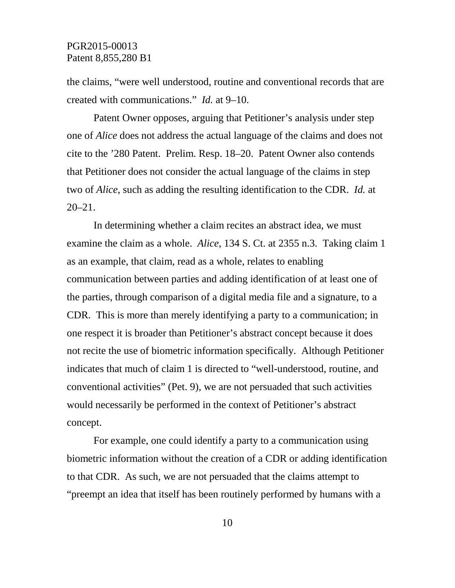the claims, "were well understood, routine and conventional records that are created with communications." *Id.* at 9–10.

Patent Owner opposes, arguing that Petitioner's analysis under step one of *Alice* does not address the actual language of the claims and does not cite to the '280 Patent. Prelim. Resp. 18–20. Patent Owner also contends that Petitioner does not consider the actual language of the claims in step two of *Alice*, such as adding the resulting identification to the CDR. *Id.* at 20–21.

In determining whether a claim recites an abstract idea, we must examine the claim as a whole. *Alice*, 134 S. Ct. at 2355 n.3. Taking claim 1 as an example, that claim, read as a whole, relates to enabling communication between parties and adding identification of at least one of the parties, through comparison of a digital media file and a signature, to a CDR. This is more than merely identifying a party to a communication; in one respect it is broader than Petitioner's abstract concept because it does not recite the use of biometric information specifically. Although Petitioner indicates that much of claim 1 is directed to "well-understood, routine, and conventional activities" (Pet. 9), we are not persuaded that such activities would necessarily be performed in the context of Petitioner's abstract concept.

For example, one could identify a party to a communication using biometric information without the creation of a CDR or adding identification to that CDR. As such, we are not persuaded that the claims attempt to "preempt an idea that itself has been routinely performed by humans with a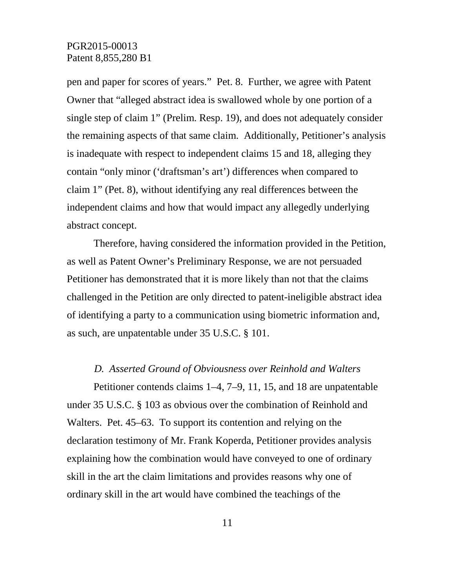pen and paper for scores of years." Pet. 8. Further, we agree with Patent Owner that "alleged abstract idea is swallowed whole by one portion of a single step of claim 1" (Prelim. Resp. 19), and does not adequately consider the remaining aspects of that same claim. Additionally, Petitioner's analysis is inadequate with respect to independent claims 15 and 18, alleging they contain "only minor ('draftsman's art') differences when compared to claim 1" (Pet. 8), without identifying any real differences between the independent claims and how that would impact any allegedly underlying abstract concept.

Therefore, having considered the information provided in the Petition, as well as Patent Owner's Preliminary Response, we are not persuaded Petitioner has demonstrated that it is more likely than not that the claims challenged in the Petition are only directed to patent-ineligible abstract idea of identifying a party to a communication using biometric information and, as such, are unpatentable under 35 U.S.C. § 101.

#### *D. Asserted Ground of Obviousness over Reinhold and Walters*

Petitioner contends claims 1–4, 7–9, 11, 15, and 18 are unpatentable under 35 U.S.C. § 103 as obvious over the combination of Reinhold and Walters. Pet. 45–63. To support its contention and relying on the declaration testimony of Mr. Frank Koperda, Petitioner provides analysis explaining how the combination would have conveyed to one of ordinary skill in the art the claim limitations and provides reasons why one of ordinary skill in the art would have combined the teachings of the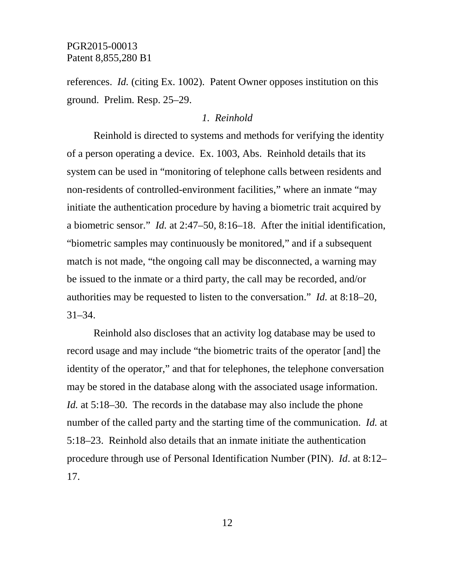references. *Id.* (citing Ex. 1002). Patent Owner opposes institution on this ground. Prelim. Resp. 25–29.

### *1. Reinhold*

Reinhold is directed to systems and methods for verifying the identity of a person operating a device. Ex. 1003, Abs. Reinhold details that its system can be used in "monitoring of telephone calls between residents and non-residents of controlled-environment facilities," where an inmate "may initiate the authentication procedure by having a biometric trait acquired by a biometric sensor." *Id.* at 2:47–50, 8:16–18. After the initial identification, "biometric samples may continuously be monitored," and if a subsequent match is not made, "the ongoing call may be disconnected, a warning may be issued to the inmate or a third party, the call may be recorded, and/or authorities may be requested to listen to the conversation." *Id.* at 8:18–20, 31–34.

Reinhold also discloses that an activity log database may be used to record usage and may include "the biometric traits of the operator [and] the identity of the operator," and that for telephones, the telephone conversation may be stored in the database along with the associated usage information. *Id.* at 5:18–30. The records in the database may also include the phone number of the called party and the starting time of the communication. *Id.* at 5:18–23. Reinhold also details that an inmate initiate the authentication procedure through use of Personal Identification Number (PIN). *Id*. at 8:12– 17.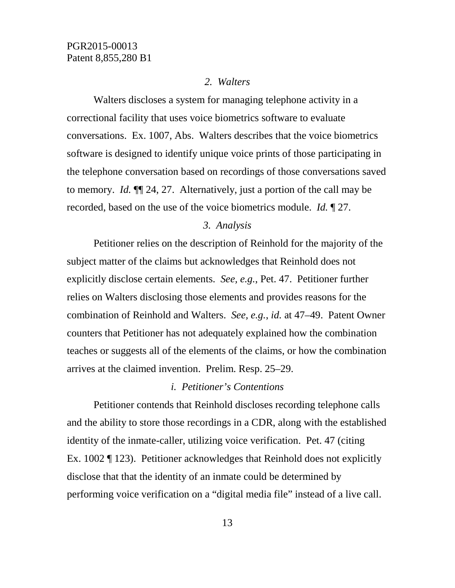#### *2. Walters*

Walters discloses a system for managing telephone activity in a correctional facility that uses voice biometrics software to evaluate conversations. Ex. 1007, Abs. Walters describes that the voice biometrics software is designed to identify unique voice prints of those participating in the telephone conversation based on recordings of those conversations saved to memory. *Id.* ¶¶ 24, 27. Alternatively, just a portion of the call may be recorded, based on the use of the voice biometrics module. *Id.* ¶ 27.

## *3. Analysis*

Petitioner relies on the description of Reinhold for the majority of the subject matter of the claims but acknowledges that Reinhold does not explicitly disclose certain elements. *See, e.g.*, Pet. 47. Petitioner further relies on Walters disclosing those elements and provides reasons for the combination of Reinhold and Walters. *See, e.g.*, *id.* at 47–49. Patent Owner counters that Petitioner has not adequately explained how the combination teaches or suggests all of the elements of the claims, or how the combination arrives at the claimed invention. Prelim. Resp. 25–29.

### *i. Petitioner's Contentions*

Petitioner contends that Reinhold discloses recording telephone calls and the ability to store those recordings in a CDR, along with the established identity of the inmate-caller, utilizing voice verification. Pet. 47 (citing Ex. 1002 ¶ 123). Petitioner acknowledges that Reinhold does not explicitly disclose that that the identity of an inmate could be determined by performing voice verification on a "digital media file" instead of a live call.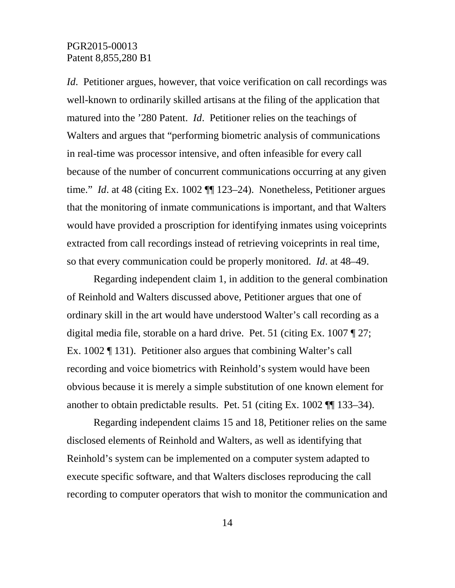*Id.* Petitioner argues, however, that voice verification on call recordings was well-known to ordinarily skilled artisans at the filing of the application that matured into the '280 Patent. *Id*. Petitioner relies on the teachings of Walters and argues that "performing biometric analysis of communications in real-time was processor intensive, and often infeasible for every call because of the number of concurrent communications occurring at any given time." *Id.* at 48 (citing Ex. 1002  $\P$  123–24). Nonetheless, Petitioner argues that the monitoring of inmate communications is important, and that Walters would have provided a proscription for identifying inmates using voiceprints extracted from call recordings instead of retrieving voiceprints in real time, so that every communication could be properly monitored. *Id*. at 48–49.

Regarding independent claim 1, in addition to the general combination of Reinhold and Walters discussed above, Petitioner argues that one of ordinary skill in the art would have understood Walter's call recording as a digital media file, storable on a hard drive. Pet. 51 (citing Ex. 1007 ¶ 27; Ex. 1002 ¶ 131). Petitioner also argues that combining Walter's call recording and voice biometrics with Reinhold's system would have been obvious because it is merely a simple substitution of one known element for another to obtain predictable results. Pet. 51 (citing Ex. 1002 ¶¶ 133–34).

Regarding independent claims 15 and 18, Petitioner relies on the same disclosed elements of Reinhold and Walters, as well as identifying that Reinhold's system can be implemented on a computer system adapted to execute specific software, and that Walters discloses reproducing the call recording to computer operators that wish to monitor the communication and

14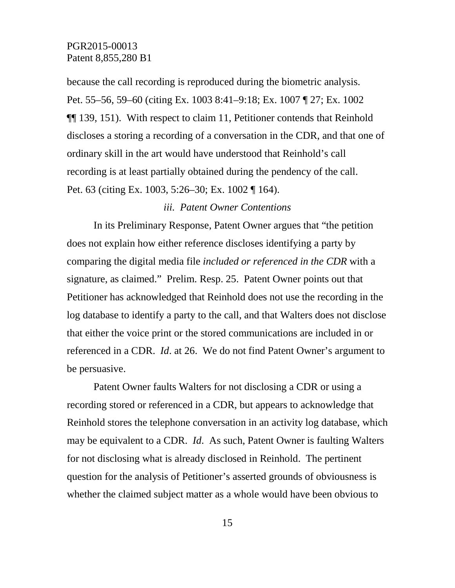because the call recording is reproduced during the biometric analysis. Pet. 55–56, 59–60 (citing Ex. 1003 8:41–9:18; Ex. 1007 ¶ 27; Ex. 1002 ¶¶ 139, 151). With respect to claim 11, Petitioner contends that Reinhold discloses a storing a recording of a conversation in the CDR, and that one of ordinary skill in the art would have understood that Reinhold's call recording is at least partially obtained during the pendency of the call. Pet. 63 (citing Ex. 1003, 5:26–30; Ex. 1002 ¶ 164).

## *iii. Patent Owner Contentions*

In its Preliminary Response, Patent Owner argues that "the petition does not explain how either reference discloses identifying a party by comparing the digital media file *included or referenced in the CDR* with a signature, as claimed." Prelim. Resp. 25. Patent Owner points out that Petitioner has acknowledged that Reinhold does not use the recording in the log database to identify a party to the call, and that Walters does not disclose that either the voice print or the stored communications are included in or referenced in a CDR. *Id*. at 26. We do not find Patent Owner's argument to be persuasive.

Patent Owner faults Walters for not disclosing a CDR or using a recording stored or referenced in a CDR, but appears to acknowledge that Reinhold stores the telephone conversation in an activity log database, which may be equivalent to a CDR. *Id*. As such, Patent Owner is faulting Walters for not disclosing what is already disclosed in Reinhold. The pertinent question for the analysis of Petitioner's asserted grounds of obviousness is whether the claimed subject matter as a whole would have been obvious to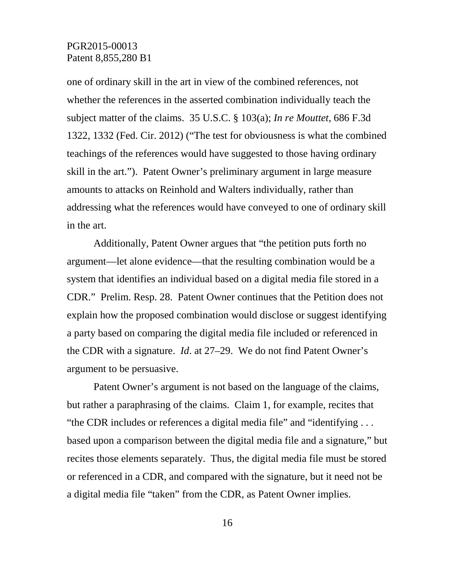one of ordinary skill in the art in view of the combined references, not whether the references in the asserted combination individually teach the subject matter of the claims. 35 U.S.C. § 103(a); *In re Mouttet*, 686 F.3d 1322, 1332 (Fed. Cir. 2012) ("The test for obviousness is what the combined teachings of the references would have suggested to those having ordinary skill in the art."). Patent Owner's preliminary argument in large measure amounts to attacks on Reinhold and Walters individually, rather than addressing what the references would have conveyed to one of ordinary skill in the art.

Additionally, Patent Owner argues that "the petition puts forth no argument—let alone evidence—that the resulting combination would be a system that identifies an individual based on a digital media file stored in a CDR." Prelim. Resp. 28. Patent Owner continues that the Petition does not explain how the proposed combination would disclose or suggest identifying a party based on comparing the digital media file included or referenced in the CDR with a signature. *Id*. at 27–29. We do not find Patent Owner's argument to be persuasive.

Patent Owner's argument is not based on the language of the claims, but rather a paraphrasing of the claims. Claim 1, for example, recites that "the CDR includes or references a digital media file" and "identifying . . . based upon a comparison between the digital media file and a signature," but recites those elements separately. Thus, the digital media file must be stored or referenced in a CDR, and compared with the signature, but it need not be a digital media file "taken" from the CDR, as Patent Owner implies.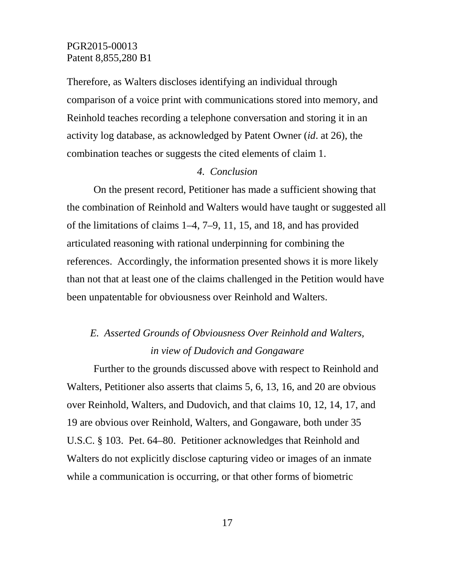Therefore, as Walters discloses identifying an individual through comparison of a voice print with communications stored into memory, and Reinhold teaches recording a telephone conversation and storing it in an activity log database, as acknowledged by Patent Owner (*id*. at 26), the combination teaches or suggests the cited elements of claim 1.

## *4. Conclusion*

On the present record, Petitioner has made a sufficient showing that the combination of Reinhold and Walters would have taught or suggested all of the limitations of claims 1–4, 7–9, 11, 15, and 18, and has provided articulated reasoning with rational underpinning for combining the references. Accordingly, the information presented shows it is more likely than not that at least one of the claims challenged in the Petition would have been unpatentable for obviousness over Reinhold and Walters.

# *E. Asserted Grounds of Obviousness Over Reinhold and Walters, in view of Dudovich and Gongaware*

Further to the grounds discussed above with respect to Reinhold and Walters, Petitioner also asserts that claims 5, 6, 13, 16, and 20 are obvious over Reinhold, Walters, and Dudovich, and that claims 10, 12, 14, 17, and 19 are obvious over Reinhold, Walters, and Gongaware, both under 35 U.S.C. § 103. Pet. 64–80. Petitioner acknowledges that Reinhold and Walters do not explicitly disclose capturing video or images of an inmate while a communication is occurring, or that other forms of biometric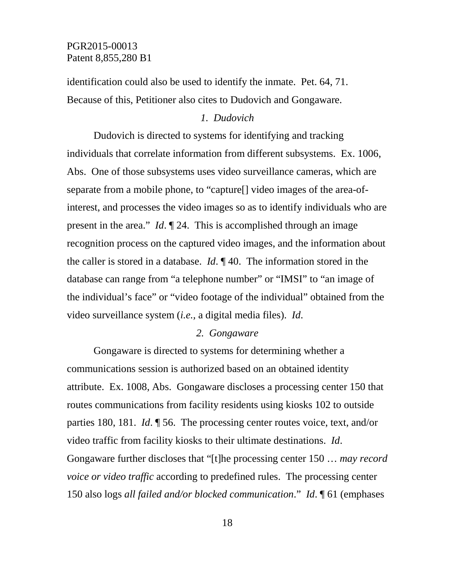identification could also be used to identify the inmate. Pet. 64, 71. Because of this, Petitioner also cites to Dudovich and Gongaware.

## *1. Dudovich*

Dudovich is directed to systems for identifying and tracking individuals that correlate information from different subsystems. Ex. 1006, Abs. One of those subsystems uses video surveillance cameras, which are separate from a mobile phone, to "capture[] video images of the area-ofinterest, and processes the video images so as to identify individuals who are present in the area." *Id*. ¶ 24. This is accomplished through an image recognition process on the captured video images, and the information about the caller is stored in a database. *Id*. ¶ 40. The information stored in the database can range from "a telephone number" or "IMSI" to "an image of the individual's face" or "video footage of the individual" obtained from the video surveillance system (*i.e.,* a digital media files). *Id*.

## *2. Gongaware*

Gongaware is directed to systems for determining whether a communications session is authorized based on an obtained identity attribute. Ex. 1008, Abs. Gongaware discloses a processing center 150 that routes communications from facility residents using kiosks 102 to outside parties 180, 181. *Id*. ¶ 56. The processing center routes voice, text, and/or video traffic from facility kiosks to their ultimate destinations. *Id*. Gongaware further discloses that "[t]he processing center 150 … *may record voice or video traffic* according to predefined rules. The processing center 150 also logs *all failed and/or blocked communication*." *Id*. ¶ 61 (emphases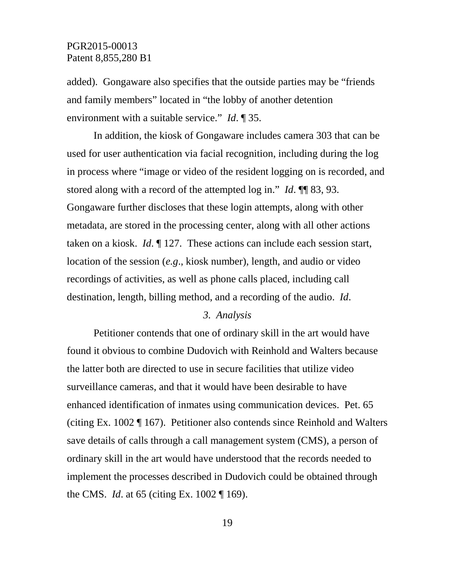added). Gongaware also specifies that the outside parties may be "friends and family members" located in "the lobby of another detention environment with a suitable service." *Id*. ¶ 35.

In addition, the kiosk of Gongaware includes camera 303 that can be used for user authentication via facial recognition, including during the log in process where "image or video of the resident logging on is recorded, and stored along with a record of the attempted log in." *Id*. ¶¶ 83, 93. Gongaware further discloses that these login attempts, along with other metadata, are stored in the processing center, along with all other actions taken on a kiosk. *Id*. ¶ 127. These actions can include each session start, location of the session (*e.g*., kiosk number), length, and audio or video recordings of activities, as well as phone calls placed, including call destination, length, billing method, and a recording of the audio. *Id*.

#### *3. Analysis*

Petitioner contends that one of ordinary skill in the art would have found it obvious to combine Dudovich with Reinhold and Walters because the latter both are directed to use in secure facilities that utilize video surveillance cameras, and that it would have been desirable to have enhanced identification of inmates using communication devices. Pet. 65 (citing Ex. 1002 ¶ 167). Petitioner also contends since Reinhold and Walters save details of calls through a call management system (CMS), a person of ordinary skill in the art would have understood that the records needed to implement the processes described in Dudovich could be obtained through the CMS. *Id*. at 65 (citing Ex. 1002 ¶ 169).

19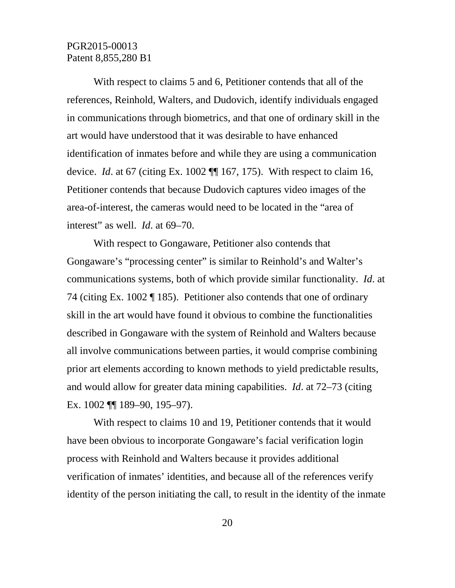With respect to claims 5 and 6, Petitioner contends that all of the references, Reinhold, Walters, and Dudovich, identify individuals engaged in communications through biometrics, and that one of ordinary skill in the art would have understood that it was desirable to have enhanced identification of inmates before and while they are using a communication device. *Id*. at 67 (citing Ex. 1002 ¶¶ 167, 175). With respect to claim 16, Petitioner contends that because Dudovich captures video images of the area-of-interest, the cameras would need to be located in the "area of interest" as well. *Id*. at 69–70.

With respect to Gongaware, Petitioner also contends that Gongaware's "processing center" is similar to Reinhold's and Walter's communications systems, both of which provide similar functionality. *Id*. at 74 (citing Ex. 1002 ¶ 185). Petitioner also contends that one of ordinary skill in the art would have found it obvious to combine the functionalities described in Gongaware with the system of Reinhold and Walters because all involve communications between parties, it would comprise combining prior art elements according to known methods to yield predictable results, and would allow for greater data mining capabilities. *Id*. at 72–73 (citing Ex. 1002 ¶¶ 189–90, 195–97).

With respect to claims 10 and 19, Petitioner contends that it would have been obvious to incorporate Gongaware's facial verification login process with Reinhold and Walters because it provides additional verification of inmates' identities, and because all of the references verify identity of the person initiating the call, to result in the identity of the inmate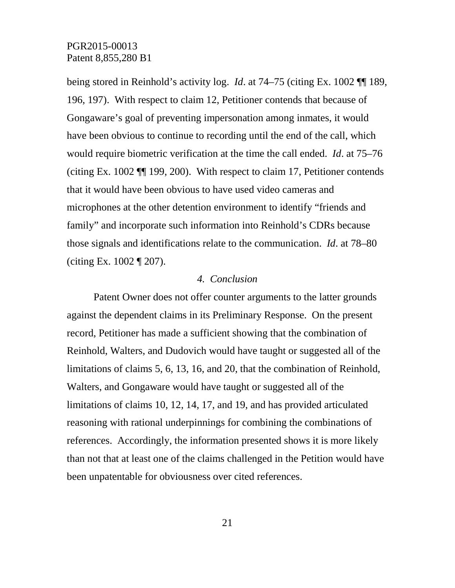being stored in Reinhold's activity log. *Id*. at 74–75 (citing Ex. 1002 ¶¶ 189, 196, 197). With respect to claim 12, Petitioner contends that because of Gongaware's goal of preventing impersonation among inmates, it would have been obvious to continue to recording until the end of the call, which would require biometric verification at the time the call ended. *Id*. at 75–76 (citing Ex. 1002 ¶¶ 199, 200). With respect to claim 17, Petitioner contends that it would have been obvious to have used video cameras and microphones at the other detention environment to identify "friends and family" and incorporate such information into Reinhold's CDRs because those signals and identifications relate to the communication. *Id*. at 78–80 (citing Ex. 1002 ¶ 207).

## *4. Conclusion*

Patent Owner does not offer counter arguments to the latter grounds against the dependent claims in its Preliminary Response. On the present record, Petitioner has made a sufficient showing that the combination of Reinhold, Walters, and Dudovich would have taught or suggested all of the limitations of claims 5, 6, 13, 16, and 20, that the combination of Reinhold, Walters, and Gongaware would have taught or suggested all of the limitations of claims 10, 12, 14, 17, and 19, and has provided articulated reasoning with rational underpinnings for combining the combinations of references. Accordingly, the information presented shows it is more likely than not that at least one of the claims challenged in the Petition would have been unpatentable for obviousness over cited references.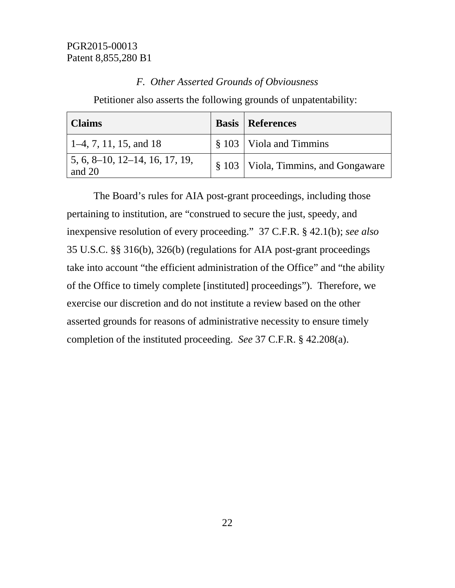## *F. Other Asserted Grounds of Obviousness*

Petitioner also asserts the following grounds of unpatentability:

| Claims                                                                   | <b>Basis   References</b>                |
|--------------------------------------------------------------------------|------------------------------------------|
| $\vert$ 1–4, 7, 11, 15, and 18                                           | $\frac{1}{2}$ \$ 103   Viola and Timmins |
| $\vert 5, 6, 8 \text{-} 10, 12 \text{-} 14, 16, 17, 19, \vert$<br>and 20 | § 103   Viola, Timmins, and Gongaware    |

The Board's rules for AIA post-grant proceedings, including those pertaining to institution, are "construed to secure the just, speedy, and inexpensive resolution of every proceeding." 37 C.F.R. § 42.1(b); *see also* 35 U.S.C. §§ 316(b), 326(b) (regulations for AIA post-grant proceedings take into account "the efficient administration of the Office" and "the ability of the Office to timely complete [instituted] proceedings"). Therefore, we exercise our discretion and do not institute a review based on the other asserted grounds for reasons of administrative necessity to ensure timely completion of the instituted proceeding. *See* 37 C.F.R. § 42.208(a).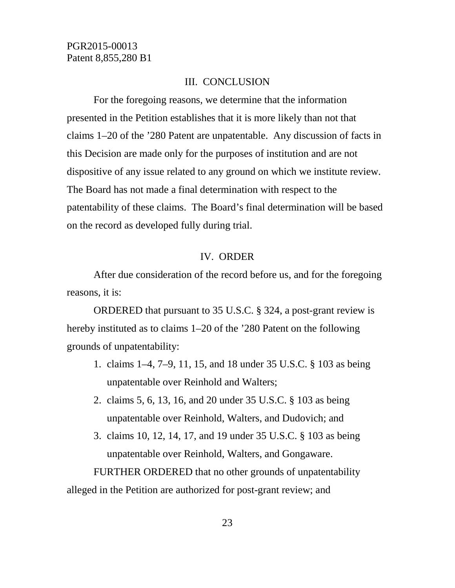## III. CONCLUSION

For the foregoing reasons, we determine that the information presented in the Petition establishes that it is more likely than not that claims 1–20 of the '280 Patent are unpatentable. Any discussion of facts in this Decision are made only for the purposes of institution and are not dispositive of any issue related to any ground on which we institute review. The Board has not made a final determination with respect to the patentability of these claims. The Board's final determination will be based on the record as developed fully during trial.

#### IV. ORDER

After due consideration of the record before us, and for the foregoing reasons, it is:

ORDERED that pursuant to 35 U.S.C. § 324, a post-grant review is hereby instituted as to claims 1–20 of the '280 Patent on the following grounds of unpatentability:

- 1. claims 1–4, 7–9, 11, 15, and 18 under 35 U.S.C. § 103 as being unpatentable over Reinhold and Walters;
- 2. claims 5, 6, 13, 16, and 20 under 35 U.S.C. § 103 as being unpatentable over Reinhold, Walters, and Dudovich; and
- 3. claims 10, 12, 14, 17, and 19 under 35 U.S.C. § 103 as being unpatentable over Reinhold, Walters, and Gongaware.

FURTHER ORDERED that no other grounds of unpatentability alleged in the Petition are authorized for post-grant review; and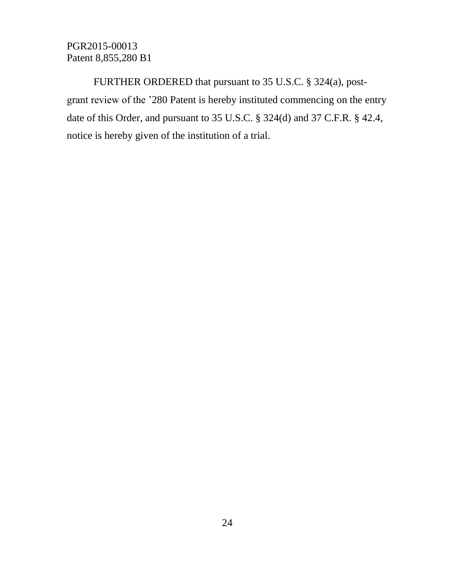FURTHER ORDERED that pursuant to 35 U.S.C. § 324(a), postgrant review of the '280 Patent is hereby instituted commencing on the entry date of this Order, and pursuant to 35 U.S.C. § 324(d) and 37 C.F.R. § 42.4, notice is hereby given of the institution of a trial.